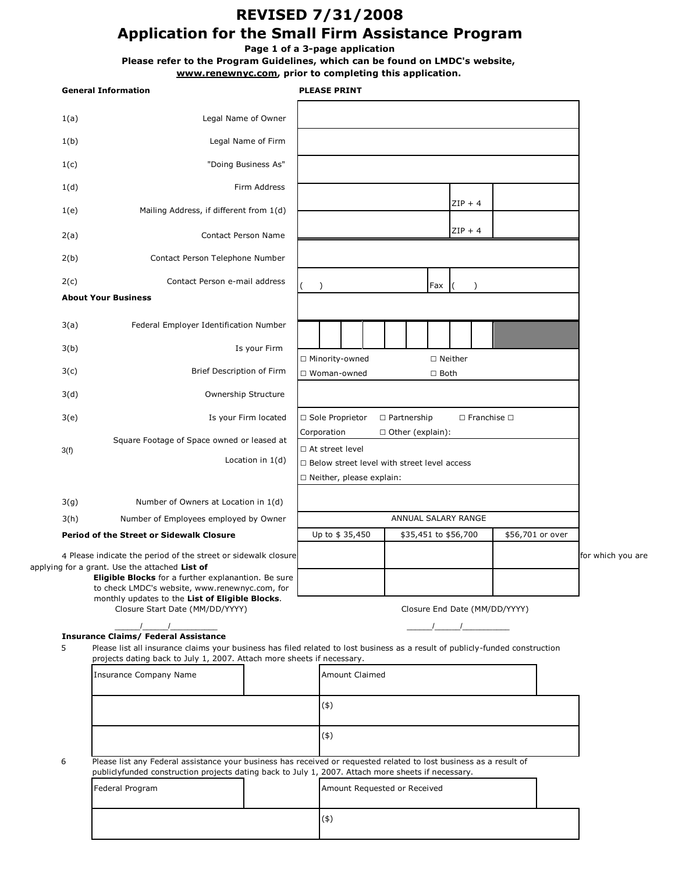# **REVISED 7/31/2008 Application for the Small Firm Assistance Program**

**Page 1 of a 3-page application**

**Please refer to the Program Guidelines, which can be found on LMDC's website,** 

**www.renewnyc.com, prior to completing this application.** 

|  | <b>General Information</b>                                                                                                                                                                                                                                                                                                                                                                                                                                                                               |                                                                                                       |                      |                                                                                                                    | <b>PLEASE PRINT</b>                           |  |  |  |                          |                               |  |                  |                   |
|--|----------------------------------------------------------------------------------------------------------------------------------------------------------------------------------------------------------------------------------------------------------------------------------------------------------------------------------------------------------------------------------------------------------------------------------------------------------------------------------------------------------|-------------------------------------------------------------------------------------------------------|----------------------|--------------------------------------------------------------------------------------------------------------------|-----------------------------------------------|--|--|--|--------------------------|-------------------------------|--|------------------|-------------------|
|  | 1(a)                                                                                                                                                                                                                                                                                                                                                                                                                                                                                                     | Legal Name of Owner                                                                                   |                      |                                                                                                                    |                                               |  |  |  |                          |                               |  |                  |                   |
|  | 1(b)                                                                                                                                                                                                                                                                                                                                                                                                                                                                                                     |                                                                                                       | Legal Name of Firm   |                                                                                                                    |                                               |  |  |  |                          |                               |  |                  |                   |
|  | 1(c)                                                                                                                                                                                                                                                                                                                                                                                                                                                                                                     | "Doing Business As"                                                                                   |                      |                                                                                                                    |                                               |  |  |  |                          |                               |  |                  |                   |
|  | 1(d)                                                                                                                                                                                                                                                                                                                                                                                                                                                                                                     |                                                                                                       | Firm Address         |                                                                                                                    |                                               |  |  |  |                          |                               |  |                  |                   |
|  | 1(e)                                                                                                                                                                                                                                                                                                                                                                                                                                                                                                     | Mailing Address, if different from 1(d)                                                               |                      |                                                                                                                    |                                               |  |  |  |                          | $ZIP + 4$                     |  |                  |                   |
|  | 2(a)                                                                                                                                                                                                                                                                                                                                                                                                                                                                                                     | Contact Person Name                                                                                   |                      |                                                                                                                    |                                               |  |  |  |                          | $ZIP + 4$                     |  |                  |                   |
|  | 2(b)                                                                                                                                                                                                                                                                                                                                                                                                                                                                                                     | Contact Person Telephone Number                                                                       |                      |                                                                                                                    |                                               |  |  |  |                          |                               |  |                  |                   |
|  | 2(c)                                                                                                                                                                                                                                                                                                                                                                                                                                                                                                     | Contact Person e-mail address                                                                         |                      |                                                                                                                    | €                                             |  |  |  | Fax                      | $\lambda$                     |  |                  |                   |
|  |                                                                                                                                                                                                                                                                                                                                                                                                                                                                                                          | <b>About Your Business</b>                                                                            |                      |                                                                                                                    |                                               |  |  |  |                          |                               |  |                  |                   |
|  | 3(a)                                                                                                                                                                                                                                                                                                                                                                                                                                                                                                     | Federal Employer Identification Number                                                                |                      |                                                                                                                    |                                               |  |  |  |                          |                               |  |                  |                   |
|  | 3(b)                                                                                                                                                                                                                                                                                                                                                                                                                                                                                                     |                                                                                                       | Is your Firm         |                                                                                                                    |                                               |  |  |  |                          |                               |  |                  |                   |
|  | 3(c)                                                                                                                                                                                                                                                                                                                                                                                                                                                                                                     | Brief Description of Firm                                                                             |                      |                                                                                                                    | □ Minority-owned<br>□ Woman-owned             |  |  |  | □ Neither<br>$\Box$ Both |                               |  |                  |                   |
|  | 3(d)                                                                                                                                                                                                                                                                                                                                                                                                                                                                                                     | Ownership Structure                                                                                   |                      |                                                                                                                    |                                               |  |  |  |                          |                               |  |                  |                   |
|  | 3(e)                                                                                                                                                                                                                                                                                                                                                                                                                                                                                                     |                                                                                                       | Is your Firm located | □ Sole Proprietor<br>$\Box$ Partnership<br>$\Box$ Franchise $\Box$                                                 |                                               |  |  |  |                          |                               |  |                  |                   |
|  | 3(f)                                                                                                                                                                                                                                                                                                                                                                                                                                                                                                     | Square Footage of Space owned or leased at                                                            |                      | Corporation<br>□ Other (explain):<br>□ At street level                                                             |                                               |  |  |  |                          |                               |  |                  |                   |
|  |                                                                                                                                                                                                                                                                                                                                                                                                                                                                                                          |                                                                                                       | Location in $1(d)$   |                                                                                                                    | □ Below street level with street level access |  |  |  |                          |                               |  |                  |                   |
|  |                                                                                                                                                                                                                                                                                                                                                                                                                                                                                                          |                                                                                                       |                      | □ Neither, please explain:                                                                                         |                                               |  |  |  |                          |                               |  |                  |                   |
|  | 3(g)                                                                                                                                                                                                                                                                                                                                                                                                                                                                                                     | Number of Owners at Location in 1(d)                                                                  |                      |                                                                                                                    |                                               |  |  |  |                          |                               |  |                  |                   |
|  | 3(h)                                                                                                                                                                                                                                                                                                                                                                                                                                                                                                     | Number of Employees employed by Owner                                                                 |                      | ANNUAL SALARY RANGE                                                                                                |                                               |  |  |  |                          |                               |  |                  |                   |
|  |                                                                                                                                                                                                                                                                                                                                                                                                                                                                                                          | <b>Period of the Street or Sidewalk Closure</b>                                                       |                      |                                                                                                                    | Up to \$35,450                                |  |  |  |                          | \$35,451 to \$56,700          |  | \$56,701 or over |                   |
|  |                                                                                                                                                                                                                                                                                                                                                                                                                                                                                                          | 4 Please indicate the period of the street or sidewalk closure                                        |                      |                                                                                                                    |                                               |  |  |  |                          |                               |  |                  | for which you are |
|  |                                                                                                                                                                                                                                                                                                                                                                                                                                                                                                          | applying for a grant. Use the attached List of<br>Eligible Blocks for a further explanantion. Be sure |                      |                                                                                                                    |                                               |  |  |  |                          |                               |  |                  |                   |
|  |                                                                                                                                                                                                                                                                                                                                                                                                                                                                                                          | to check LMDC's website, www.renewnyc.com, for<br>monthly updates to the List of Eligible Blocks.     |                      |                                                                                                                    |                                               |  |  |  |                          |                               |  |                  |                   |
|  |                                                                                                                                                                                                                                                                                                                                                                                                                                                                                                          | Closure Start Date (MM/DD/YYYY)                                                                       |                      |                                                                                                                    |                                               |  |  |  |                          | Closure End Date (MM/DD/YYYY) |  |                  |                   |
|  | $\frac{1}{2}$ $\frac{1}{2}$ $\frac{1}{2}$ $\frac{1}{2}$ $\frac{1}{2}$ $\frac{1}{2}$ $\frac{1}{2}$ $\frac{1}{2}$ $\frac{1}{2}$ $\frac{1}{2}$ $\frac{1}{2}$ $\frac{1}{2}$ $\frac{1}{2}$ $\frac{1}{2}$ $\frac{1}{2}$ $\frac{1}{2}$ $\frac{1}{2}$ $\frac{1}{2}$ $\frac{1}{2}$ $\frac{1}{2}$ $\frac{1}{2}$ $\frac{1}{2}$<br><b>Insurance Claims/ Federal Assistance</b><br>5<br>Please list all insurance claims your business has filed related to lost business as a result of publicly-funded construction |                                                                                                       |                      |                                                                                                                    |                                               |  |  |  |                          |                               |  |                  |                   |
|  |                                                                                                                                                                                                                                                                                                                                                                                                                                                                                                          |                                                                                                       |                      |                                                                                                                    |                                               |  |  |  |                          |                               |  |                  |                   |
|  |                                                                                                                                                                                                                                                                                                                                                                                                                                                                                                          | projects dating back to July 1, 2007. Attach more sheets if necessary.                                |                      |                                                                                                                    |                                               |  |  |  |                          |                               |  |                  |                   |
|  |                                                                                                                                                                                                                                                                                                                                                                                                                                                                                                          | <b>Insurance Company Name</b>                                                                         |                      | <b>Amount Claimed</b>                                                                                              |                                               |  |  |  |                          |                               |  |                  |                   |
|  |                                                                                                                                                                                                                                                                                                                                                                                                                                                                                                          |                                                                                                       |                      | (4)                                                                                                                |                                               |  |  |  |                          |                               |  |                  |                   |
|  |                                                                                                                                                                                                                                                                                                                                                                                                                                                                                                          |                                                                                                       |                      |                                                                                                                    |                                               |  |  |  |                          |                               |  |                  |                   |
|  |                                                                                                                                                                                                                                                                                                                                                                                                                                                                                                          |                                                                                                       |                      |                                                                                                                    | (4)                                           |  |  |  |                          |                               |  |                  |                   |
|  | 6                                                                                                                                                                                                                                                                                                                                                                                                                                                                                                        | publiclyfunded construction projects dating back to July 1, 2007. Attach more sheets if necessary.    |                      | Please list any Federal assistance your business has received or requested related to lost business as a result of |                                               |  |  |  |                          |                               |  |                  |                   |
|  |                                                                                                                                                                                                                                                                                                                                                                                                                                                                                                          | Federal Program                                                                                       |                      |                                                                                                                    | Amount Requested or Received                  |  |  |  |                          |                               |  |                  |                   |
|  |                                                                                                                                                                                                                                                                                                                                                                                                                                                                                                          |                                                                                                       |                      |                                                                                                                    | (4)                                           |  |  |  |                          |                               |  |                  |                   |
|  |                                                                                                                                                                                                                                                                                                                                                                                                                                                                                                          |                                                                                                       |                      |                                                                                                                    |                                               |  |  |  |                          |                               |  |                  |                   |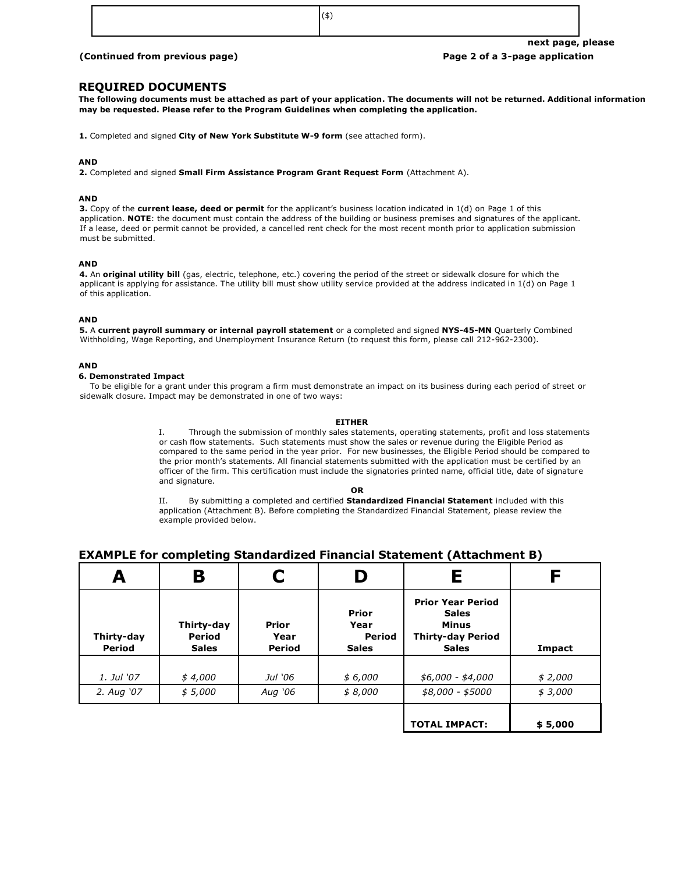#### **(Continued from previous page) Page 2 of a 3-page application**

#### **REQUIRED DOCUMENTS**

**The following documents must be attached as part of your application. The documents will not be returned. Additional information may be requested. Please refer to the Program Guidelines when completing the application.** 

**1.** Completed and signed **City of New York Substitute W-9 form** (see attached form).

#### **AND**

**2.** Completed and signed **Small Firm Assistance Program Grant Request Form** (Attachment A).

#### **AND**

**3.** Copy of the **current lease, deed or permit** for the applicant's business location indicated in 1(d) on Page 1 of this application. **NOTE**: the document must contain the address of the building or business premises and signatures of the applicant. If a lease, deed or permit cannot be provided, a cancelled rent check for the most recent month prior to application submission must be submitted.

#### **AND**

**4.** An **original utility bill** (gas, electric, telephone, etc.) covering the period of the street or sidewalk closure for which the applicant is applying for assistance. The utility bill must show utility service provided at the address indicated in 1(d) on Page 1 of this application.

#### **AND**

**5.** A **current payroll summary or internal payroll statement** or a completed and signed **NYS-45-MN** Quarterly Combined Withholding, Wage Reporting, and Unemployment Insurance Return (to request this form, please call 212-962-2300).

#### **AND**

#### **6. Demonstrated Impact**

 To be eligible for a grant under this program a firm must demonstrate an impact on its business during each period of street or sidewalk closure. Impact may be demonstrated in one of two ways:

#### **EITHER**

I. Through the submission of monthly sales statements, operating statements, profit and loss statements or cash flow statements. Such statements must show the sales or revenue during the Eligible Period as compared to the same period in the year prior. For new businesses, the Eligible Period should be compared to the prior month's statements. All financial statements submitted with the application must be certified by an officer of the firm. This certification must include the signatories printed name, official title, date of signature and signature.

**OR** 

II. By submitting a completed and certified **Standardized Financial Statement** included with this application (Attachment B). Before completing the Standardized Financial Statement, please review the example provided below.

#### **EXAMPLE for completing Standardized Financial Statement (Attachment B)**

| A                    | Β                                           |                                | D                                       | Ε                                                                                                    |         |
|----------------------|---------------------------------------------|--------------------------------|-----------------------------------------|------------------------------------------------------------------------------------------------------|---------|
| Thirty-day<br>Period | Thirty-day<br><b>Period</b><br><b>Sales</b> | <b>Prior</b><br>Year<br>Period | Prior<br>Year<br>Period<br><b>Sales</b> | <b>Prior Year Period</b><br><b>Sales</b><br><b>Minus</b><br><b>Thirty-day Period</b><br><b>Sales</b> | Impact  |
| 1. Jul '07           | \$4,000                                     | Jul '06                        | \$6,000                                 | $$6,000 - $4,000$                                                                                    | \$2,000 |
| 2. Aug '07           | \$5,000                                     | Aug '06                        | \$8,000                                 | \$8,000 - \$5000                                                                                     | \$3,000 |
|                      |                                             |                                |                                         | <b>TOTAL IMPACT:</b>                                                                                 | \$5,000 |

(\$)

**next page, please**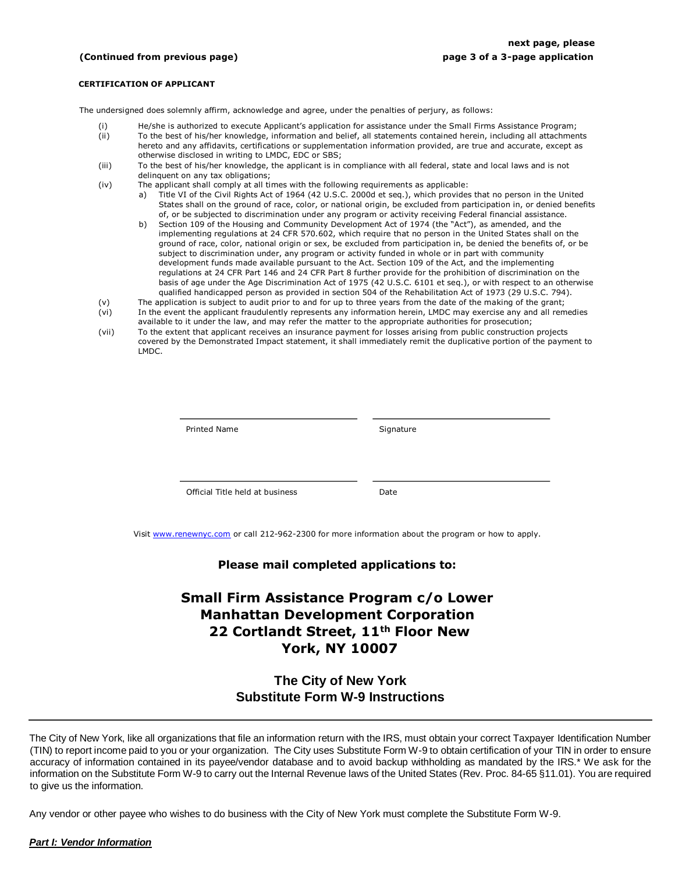#### **(Continued from previous page) page 3 of a 3-page application**

#### **CERTIFICATION OF APPLICANT**

The undersigned does solemnly affirm, acknowledge and agree, under the penalties of perjury, as follows:

- (i) He/she is authorized to execute Applicant's application for assistance under the Small Firms Assistance Program;
- (ii) To the best of his/her knowledge, information and belief, all statements contained herein, including all attachments hereto and any affidavits, certifications or supplementation information provided, are true and accurate, except as otherwise disclosed in writing to LMDC, EDC or SBS;
- (iii) To the best of his/her knowledge, the applicant is in compliance with all federal, state and local laws and is not delinquent on any tax obligations;
- (iv) The applicant shall comply at all times with the following requirements as applicable:
	- a) Title VI of the Civil Rights Act of 1964 (42 U.S.C. 2000d et seq.), which provides that no person in the United States shall on the ground of race, color, or national origin, be excluded from participation in, or denied benefits of, or be subjected to discrimination under any program or activity receiving Federal financial assistance.
	- b) Section 109 of the Housing and Community Development Act of 1974 (the "Act"), as amended, and the implementing regulations at 24 CFR 570.602, which require that no person in the United States shall on the ground of race, color, national origin or sex, be excluded from participation in, be denied the benefits of, or be subject to discrimination under, any program or activity funded in whole or in part with community development funds made available pursuant to the Act. Section 109 of the Act, and the implementing regulations at 24 CFR Part 146 and 24 CFR Part 8 further provide for the prohibition of discrimination on the basis of age under the Age Discrimination Act of 1975 (42 U.S.C. 6101 et seq.), or with respect to an otherwise qualified handicapped person as provided in section 504 of the Rehabilitation Act of 1973 (29 U.S.C. 794).
- (v) The application is subject to audit prior to and for up to three years from the date of the making of the grant;<br>(vi) In the event the applicant fraudulently represents any information herein, LMDC may exercise any and In the event the applicant fraudulently represents any information herein, LMDC may exercise any and all remedies
- available to it under the law, and may refer the matter to the appropriate authorities for prosecution;
- (vii) To the extent that applicant receives an insurance payment for losses arising from public construction projects covered by the Demonstrated Impact statement, it shall immediately remit the duplicative portion of the payment to LMDC.

| <b>Printed Name</b>             | Signature |
|---------------------------------|-----------|
|                                 |           |
| Official Title held at business | Date      |

Visit www.renewnyc.com or call 212-962-2300 for more information about the program or how to apply.

#### **Please mail completed applications to:**

# **Small Firm Assistance Program c/o Lower Manhattan Development Corporation 22 Cortlandt Street, 11th Floor New York, NY 10007**

### **The City of New York Substitute Form W-9 Instructions**

The City of New York, like all organizations that file an information return with the IRS, must obtain your correct Taxpayer Identification Number (TIN) to report income paid to you or your organization. The City uses Substitute Form W-9 to obtain certification of your TIN in order to ensure accuracy of information contained in its payee/vendor database and to avoid backup withholding as mandated by the IRS.\* We ask for the information on the Substitute Form W-9 to carry out the Internal Revenue laws of the United States (Rev. Proc. 84-65 §11.01). You are required to give us the information.

Any vendor or other payee who wishes to do business with the City of New York must complete the Substitute Form W-9.

#### *Part I: Vendor Information*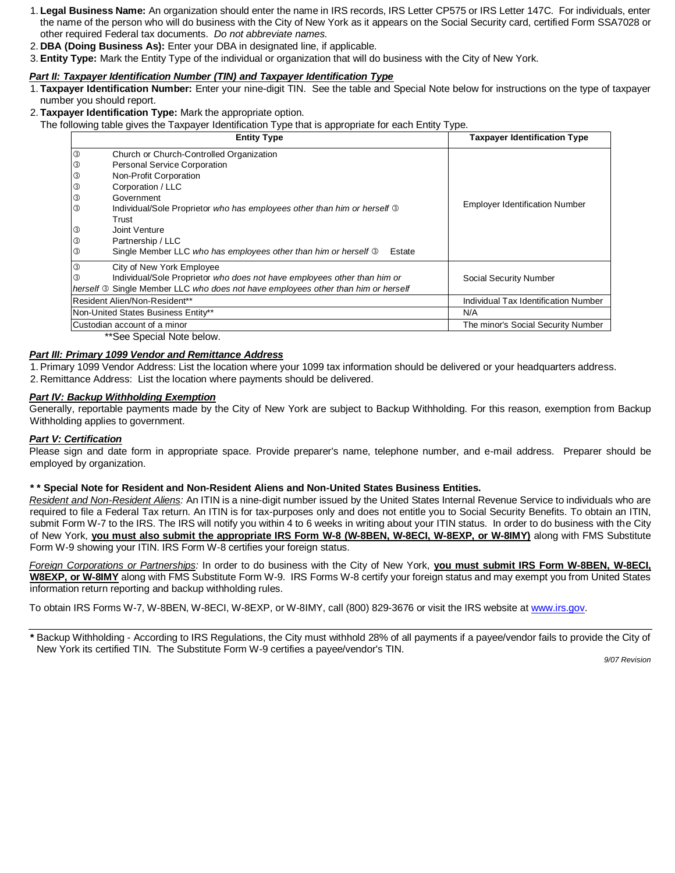- 1. **Legal Business Name:** An organization should enter the name in IRS records, IRS Letter CP575 or IRS Letter 147C. For individuals, enter the name of the person who will do business with the City of New York as it appears on the Social Security card, certified Form SSA7028 or other required Federal tax documents. *Do not abbreviate names.*
- 2. **DBA (Doing Business As):** Enter your DBA in designated line, if applicable.
- 3. **Entity Type:** Mark the Entity Type of the individual or organization that will do business with the City of New York.

### *Part II: Taxpayer Identification Number (TIN) and Taxpayer Identification Type*

- 1. **Taxpayer Identification Number:** Enter your nine-digit TIN. See the table and Special Note below for instructions on the type of taxpayer number you should report.
- 2. **Taxpayer Identification Type:** Mark the appropriate option.
	- The following table gives the Taxpayer Identification Type that is appropriate for each Entity Type.

| $\circledS$<br>Church or Church-Controlled Organization<br><b>Personal Service Corporation</b><br>③<br>0<br>Non-Profit Corporation<br>$^\circledR$<br>Corporation / LLC<br>0<br>Government<br><b>Employer Identification Number</b><br>③<br>Individual/Sole Proprietor who has employees other than him or herself 3<br>Trust<br>③<br>Joint Venture<br>0<br>Partnership / LLC<br>0<br>Single Member LLC who has employees other than him or herself 3<br>Estate<br>$\circledS$<br>City of New York Employee<br>Individual/Sole Proprietor who does not have employees other than him or<br>$\circled{3}$<br>Social Security Number<br>herself <b>3</b> Single Member LLC who does not have employees other than him or herself<br>Resident Alien/Non-Resident**<br>Non-United States Business Entity**<br>N/A | <b>Entity Type</b> | <b>Taxpayer Identification Type</b>  |
|---------------------------------------------------------------------------------------------------------------------------------------------------------------------------------------------------------------------------------------------------------------------------------------------------------------------------------------------------------------------------------------------------------------------------------------------------------------------------------------------------------------------------------------------------------------------------------------------------------------------------------------------------------------------------------------------------------------------------------------------------------------------------------------------------------------|--------------------|--------------------------------------|
|                                                                                                                                                                                                                                                                                                                                                                                                                                                                                                                                                                                                                                                                                                                                                                                                               |                    |                                      |
|                                                                                                                                                                                                                                                                                                                                                                                                                                                                                                                                                                                                                                                                                                                                                                                                               |                    |                                      |
|                                                                                                                                                                                                                                                                                                                                                                                                                                                                                                                                                                                                                                                                                                                                                                                                               |                    |                                      |
|                                                                                                                                                                                                                                                                                                                                                                                                                                                                                                                                                                                                                                                                                                                                                                                                               |                    |                                      |
|                                                                                                                                                                                                                                                                                                                                                                                                                                                                                                                                                                                                                                                                                                                                                                                                               |                    |                                      |
|                                                                                                                                                                                                                                                                                                                                                                                                                                                                                                                                                                                                                                                                                                                                                                                                               |                    |                                      |
|                                                                                                                                                                                                                                                                                                                                                                                                                                                                                                                                                                                                                                                                                                                                                                                                               |                    |                                      |
|                                                                                                                                                                                                                                                                                                                                                                                                                                                                                                                                                                                                                                                                                                                                                                                                               |                    |                                      |
|                                                                                                                                                                                                                                                                                                                                                                                                                                                                                                                                                                                                                                                                                                                                                                                                               |                    |                                      |
|                                                                                                                                                                                                                                                                                                                                                                                                                                                                                                                                                                                                                                                                                                                                                                                                               |                    |                                      |
|                                                                                                                                                                                                                                                                                                                                                                                                                                                                                                                                                                                                                                                                                                                                                                                                               |                    |                                      |
|                                                                                                                                                                                                                                                                                                                                                                                                                                                                                                                                                                                                                                                                                                                                                                                                               |                    |                                      |
|                                                                                                                                                                                                                                                                                                                                                                                                                                                                                                                                                                                                                                                                                                                                                                                                               |                    |                                      |
|                                                                                                                                                                                                                                                                                                                                                                                                                                                                                                                                                                                                                                                                                                                                                                                                               |                    | Individual Tax Identification Number |
|                                                                                                                                                                                                                                                                                                                                                                                                                                                                                                                                                                                                                                                                                                                                                                                                               |                    |                                      |
| Custodian account of a minor                                                                                                                                                                                                                                                                                                                                                                                                                                                                                                                                                                                                                                                                                                                                                                                  |                    | The minor's Social Security Number   |

\*\*See Special Note below.

#### *Part III: Primary 1099 Vendor and Remittance Address*

1. Primary 1099 Vendor Address: List the location where your 1099 tax information should be delivered or your headquarters address. 2. Remittance Address: List the location where payments should be delivered.

#### *Part IV: Backup Withholding Exemption*

Generally, reportable payments made by the City of New York are subject to Backup Withholding. For this reason, exemption from Backup Withholding applies to government.

#### *Part V: Certification*

Please sign and date form in appropriate space. Provide preparer's name, telephone number, and e-mail address. Preparer should be employed by organization.

#### **\* \* Special Note for Resident and Non-Resident Aliens and Non-United States Business Entities.**

*Resident and Non-Resident Aliens:* An ITIN is a nine-digit number issued by the United States Internal Revenue Service to individuals who are required to file a Federal Tax return. An ITIN is for tax-purposes only and does not entitle you to Social Security Benefits. To obtain an ITIN, submit Form W-7 to the IRS. The IRS will notify you within 4 to 6 weeks in writing about your ITIN status. In order to do business with the City of New York, **you must also submit the appropriate IRS Form W-8 (W-8BEN, W-8ECI, W-8EXP, or W-8IMY)** along with FMS Substitute Form W-9 showing your ITIN. IRS Form W-8 certifies your foreign status.

*Foreign Corporations or Partnerships:* In order to do business with the City of New York, **you must submit IRS Form W-8BEN, W-8ECI, W8EXP, or W-8IMY** along with FMS Substitute Form W-9. IRS Forms W-8 certify your foreign status and may exempt you from United States information return reporting and backup withholding rules.

To obtain IRS Forms W-7, W-8BEN, W-8ECI, W-8EXP, or W-8IMY, call (800) 829-3676 or visit the IRS website at www.irs.gov.

**\*** Backup Withholding - According to IRS Regulations, the City must withhold 28% of all payments if a payee/vendor fails to provide the City of New York its certified TIN. The Substitute Form W-9 certifies a payee/vendor's TIN.

*9/07 Revision*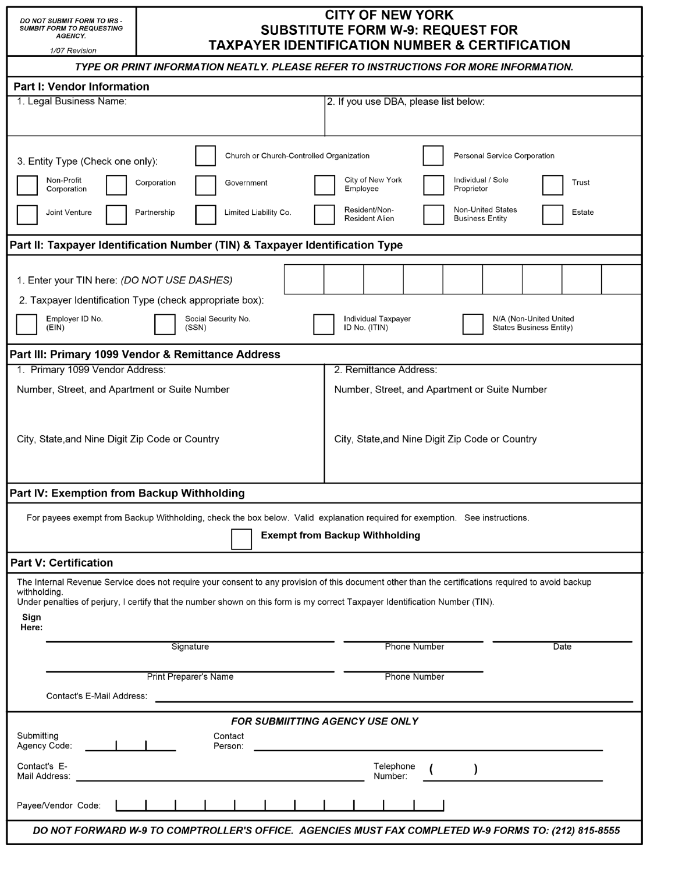- DO NOT SUBMIT FORM TO IRS<br>SUMBIT FORM TO REQUESTING<br>AGENCY.

## **CITY OF NEW YORK SUBSTITUTE FORM W-9: REQUEST FOR TAXPAYER IDENTIFICATION NUMBER & CERTIFICATION**

| <u>IAAPATEK IDEN IIFIGATION NUMBEK &amp; GERTIFIGATION</u><br>1/07 Revision                                                                                                                                                                                                                         |  |  |  |  |  |  |
|-----------------------------------------------------------------------------------------------------------------------------------------------------------------------------------------------------------------------------------------------------------------------------------------------------|--|--|--|--|--|--|
| TYPE OR PRINT INFORMATION NEATLY. PLEASE REFER TO INSTRUCTIONS FOR MORE INFORMATION.                                                                                                                                                                                                                |  |  |  |  |  |  |
| <b>Part I: Vendor Information</b>                                                                                                                                                                                                                                                                   |  |  |  |  |  |  |
| 1. Legal Business Name:<br>2. If you use DBA, please list below:                                                                                                                                                                                                                                    |  |  |  |  |  |  |
|                                                                                                                                                                                                                                                                                                     |  |  |  |  |  |  |
|                                                                                                                                                                                                                                                                                                     |  |  |  |  |  |  |
| Church or Church-Controlled Organization<br>Personal Service Corporation<br>3. Entity Type (Check one only):                                                                                                                                                                                        |  |  |  |  |  |  |
| Non-Profit<br>City of New York<br>Individual / Sole<br>Corporation<br>Trust<br>Government<br>Corporation<br>Employee<br>Proprietor                                                                                                                                                                  |  |  |  |  |  |  |
| <b>Non-United States</b><br>Resident/Non-<br>Limited Liability Co.<br>Joint Venture<br>Estate<br>Partnership<br><b>Resident Alien</b><br><b>Business Entity</b>                                                                                                                                     |  |  |  |  |  |  |
| Part II: Taxpayer Identification Number (TIN) & Taxpayer Identification Type                                                                                                                                                                                                                        |  |  |  |  |  |  |
|                                                                                                                                                                                                                                                                                                     |  |  |  |  |  |  |
| 1. Enter your TIN here: (DO NOT USE DASHES)                                                                                                                                                                                                                                                         |  |  |  |  |  |  |
| 2. Taxpayer Identification Type (check appropriate box):                                                                                                                                                                                                                                            |  |  |  |  |  |  |
| Employer ID No.<br>Social Security No.<br>Individual Taxpayer<br>N/A (Non-United United<br>(EIN)<br>(SSN)<br>ID No. (ITIN)<br><b>States Business Entity)</b>                                                                                                                                        |  |  |  |  |  |  |
| Part III: Primary 1099 Vendor & Remittance Address                                                                                                                                                                                                                                                  |  |  |  |  |  |  |
| 1. Primary 1099 Vendor Address:<br>2. Remittance Address:                                                                                                                                                                                                                                           |  |  |  |  |  |  |
| Number, Street, and Apartment or Suite Number<br>Number, Street, and Apartment or Suite Number                                                                                                                                                                                                      |  |  |  |  |  |  |
|                                                                                                                                                                                                                                                                                                     |  |  |  |  |  |  |
| City, State, and Nine Digit Zip Code or Country<br>City, State, and Nine Digit Zip Code or Country                                                                                                                                                                                                  |  |  |  |  |  |  |
|                                                                                                                                                                                                                                                                                                     |  |  |  |  |  |  |
|                                                                                                                                                                                                                                                                                                     |  |  |  |  |  |  |
| Part IV: Exemption from Backup Withholding                                                                                                                                                                                                                                                          |  |  |  |  |  |  |
| For payees exempt from Backup Withholding, check the box below. Valid explanation required for exemption. See instructions.                                                                                                                                                                         |  |  |  |  |  |  |
|                                                                                                                                                                                                                                                                                                     |  |  |  |  |  |  |
| <b>Exempt from Backup Withholding</b>                                                                                                                                                                                                                                                               |  |  |  |  |  |  |
| <b>Part V: Certification</b>                                                                                                                                                                                                                                                                        |  |  |  |  |  |  |
| The Internal Revenue Service does not require your consent to any provision of this document other than the certifications required to avoid backup<br>withholding.<br>Under penalties of perjury, I certify that the number shown on this form is my correct Taxpayer Identification Number (TIN). |  |  |  |  |  |  |
| Sign                                                                                                                                                                                                                                                                                                |  |  |  |  |  |  |
| Here:                                                                                                                                                                                                                                                                                               |  |  |  |  |  |  |
| Signature<br><b>Phone Number</b><br>Date                                                                                                                                                                                                                                                            |  |  |  |  |  |  |
| <b>Print Preparer's Name</b><br><b>Phone Number</b>                                                                                                                                                                                                                                                 |  |  |  |  |  |  |
|                                                                                                                                                                                                                                                                                                     |  |  |  |  |  |  |
| Contact's E-Mail Address:                                                                                                                                                                                                                                                                           |  |  |  |  |  |  |
| <b>FOR SUBMIITTING AGENCY USE ONLY</b>                                                                                                                                                                                                                                                              |  |  |  |  |  |  |
| Submitting<br>Contact<br>Agency Code:<br>Person:                                                                                                                                                                                                                                                    |  |  |  |  |  |  |
| Contact's E-<br>Telephone<br>Mail Address:<br>Number:                                                                                                                                                                                                                                               |  |  |  |  |  |  |
| Payee/Vendor Code:                                                                                                                                                                                                                                                                                  |  |  |  |  |  |  |
| DO NOT FORWARD W-9 TO COMPTROLLER'S OFFICE. AGENCIES MUST FAX COMPLETED W-9 FORMS TO: (212) 815-8555                                                                                                                                                                                                |  |  |  |  |  |  |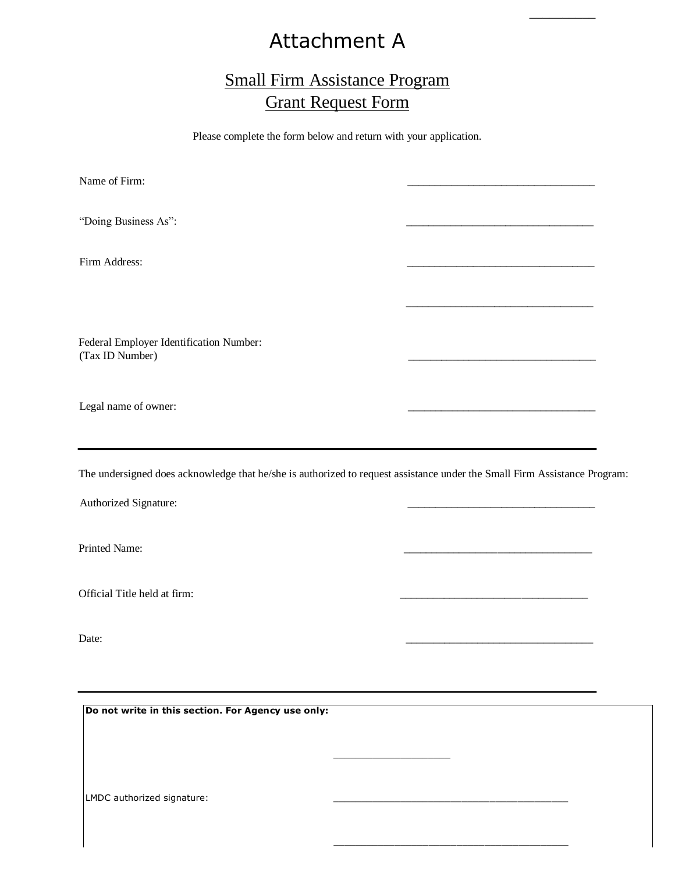# Attachment A

 $\overline{\phantom{a}}$ 

# Small Firm Assistance Program Grant Request Form

Please complete the form below and return with your application.

Name of Firm: "Doing Business As": Firm Address:  $\frac{1}{\sqrt{2}}$  ,  $\frac{1}{\sqrt{2}}$  ,  $\frac{1}{\sqrt{2}}$  ,  $\frac{1}{\sqrt{2}}$  ,  $\frac{1}{\sqrt{2}}$  ,  $\frac{1}{\sqrt{2}}$  ,  $\frac{1}{\sqrt{2}}$  ,  $\frac{1}{\sqrt{2}}$  ,  $\frac{1}{\sqrt{2}}$  ,  $\frac{1}{\sqrt{2}}$  ,  $\frac{1}{\sqrt{2}}$  ,  $\frac{1}{\sqrt{2}}$  ,  $\frac{1}{\sqrt{2}}$  ,  $\frac{1}{\sqrt{2}}$  ,  $\frac{1}{\sqrt{2}}$ Federal Employer Identification Number: (Tax ID Number) \_\_\_\_\_\_\_\_\_\_\_\_\_\_\_\_\_\_\_\_\_\_\_\_\_\_\_\_\_\_\_\_\_\_ Legal name of owner:

The undersigned does acknowledge that he/she is authorized to request assistance under the Small Firm Assistance Program:

 $\frac{1}{2}$  ,  $\frac{1}{2}$  ,  $\frac{1}{2}$  ,  $\frac{1}{2}$  ,  $\frac{1}{2}$  ,  $\frac{1}{2}$  ,  $\frac{1}{2}$  ,  $\frac{1}{2}$  ,  $\frac{1}{2}$  ,  $\frac{1}{2}$  ,  $\frac{1}{2}$  ,  $\frac{1}{2}$  ,  $\frac{1}{2}$  ,  $\frac{1}{2}$  ,  $\frac{1}{2}$  ,  $\frac{1}{2}$  ,  $\frac{1}{2}$  ,  $\frac{1}{2}$  ,  $\frac{1$ 

 $\_$ 

Authorized Signature:

Printed Name:

Official Title held at firm:

Date: \_\_\_\_\_\_\_\_\_\_\_\_\_\_\_\_\_\_\_\_\_\_\_\_\_\_\_\_\_\_\_\_\_\_

**Do not write in this section. For Agency use only:** 

LMDC authorized signature: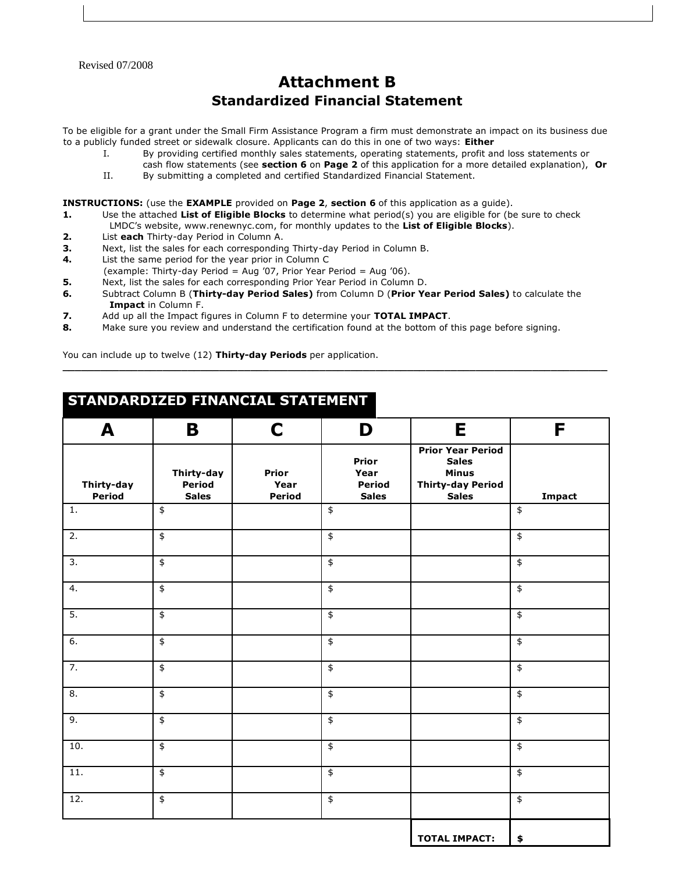Revised 07/2008

# **Attachment B Standardized Financial Statement**

To be eligible for a grant under the Small Firm Assistance Program a firm must demonstrate an impact on its business due to a publicly funded street or sidewalk closure. Applicants can do this in one of two ways: **Either** 

- I. By providing certified monthly sales statements, operating statements, profit and loss statements or
- cash flow statements (see **section 6** on **Page 2** of this application for a more detailed explanation), **Or**  II. By submitting a completed and certified Standardized Financial Statement.

**INSTRUCTIONS:** (use the **EXAMPLE** provided on **Page 2**, **section 6** of this application as a guide).

- **1.** Use the attached List of Eligible Blocks to determine what period(s) you are eligible for (be sure to check LMDC's website, www.renewnyc.com, for monthly updates to the **List of Eligible Blocks**).
- **2.** List **each** Thirty-day Period in Column A.
- **3.** Next, list the sales for each corresponding Thirty-day Period in Column B.
- **4.** List the same period for the year prior in Column C
- (example: Thirty-day Period = Aug '07, Prior Year Period = Aug '06).
- **5.** Next, list the sales for each corresponding Prior Year Period in Column D.
- **6.** Subtract Column B (**Thirty-day Period Sales)** from Column D (**Prior Year Period Sales)** to calculate the **Impact** in Column F.

**\_\_\_\_\_\_\_\_\_\_\_\_\_\_\_\_\_\_\_\_\_\_\_\_\_\_\_\_\_\_\_\_\_\_\_\_\_\_\_\_\_\_\_\_\_\_\_\_\_\_\_\_\_\_\_\_\_\_\_\_\_\_\_\_\_\_\_\_\_\_\_\_\_\_\_\_\_\_\_\_\_\_\_\_\_\_\_** 

- **7.** Add up all the Impact figures in Column F to determine your **TOTAL IMPACT**.
- **8.** Make sure you review and understand the certification found at the bottom of this page before signing.

You can include up to twelve (12) **Thirty-day Periods** per application.

# **STANDARDIZED FINANCIAL STATEMENT**

| A                    | B                                    | $\mathbf C$             | D                                              | E                                                                                                    | F                  |
|----------------------|--------------------------------------|-------------------------|------------------------------------------------|------------------------------------------------------------------------------------------------------|--------------------|
| Thirty-day<br>Period | Thirty-day<br>Period<br><b>Sales</b> | Prior<br>Year<br>Period | Prior<br>Year<br><b>Period</b><br><b>Sales</b> | <b>Prior Year Period</b><br><b>Sales</b><br><b>Minus</b><br><b>Thirty-day Period</b><br><b>Sales</b> | Impact             |
| $1.$                 | $\,$ $\,$                            |                         | $\pmb{\$}$                                     |                                                                                                      | $\spadesuit$       |
| $\overline{2}$ .     | $\overline{\ast}$                    |                         | $\overline{\ast}$                              |                                                                                                      | $\overline{\ast}$  |
| $\overline{3}$ .     | $\frac{4}{3}$                        |                         | $\overline{\boldsymbol{\mathsf{L}}}$           |                                                                                                      | $\overline{\$}$    |
| $\overline{4}$ .     | $\overline{\ast}$                    |                         | $\overline{\ast}$                              |                                                                                                      | $\overline{\ast}$  |
| $\overline{5}$ .     | $\overline{\ast}$                    |                         | $\overline{\mathfrak{s}}$                      |                                                                                                      | $\overline{\ast}$  |
| 6.                   | $\,$                                 |                         | $\overline{\ast}$                              |                                                                                                      | $\overline{\ast}$  |
| $\overline{7}$ .     | $\overline{\ast}$                    |                         | $\overline{\mathfrak{s}}$                      |                                                                                                      | $\overline{\ast}$  |
| $\overline{8}$ .     | $\overline{\mathfrak{s}}$            |                         | $\overline{\mathfrak{s}}$                      |                                                                                                      | $\pmb{\hat{\ast}}$ |
| 9.                   | $\,$                                 |                         | $\pmb{\$}$                                     |                                                                                                      | $\spadesuit$       |
| 10.                  | $\overline{\ast}$                    |                         | $\overline{\ast}$                              |                                                                                                      | $\overline{\ast}$  |
| $\overline{11}$ .    | $\pmb{\mathfrak{\$}}$                |                         | $\overline{\ast}$                              |                                                                                                      | $\overline{\ast}$  |
| $\overline{12}$ .    | $\overline{\ast}$                    |                         | $\overline{\ast}$                              |                                                                                                      | $\overline{\ast}$  |
|                      |                                      |                         |                                                | <b>TOTAL IMPACT:</b>                                                                                 | \$                 |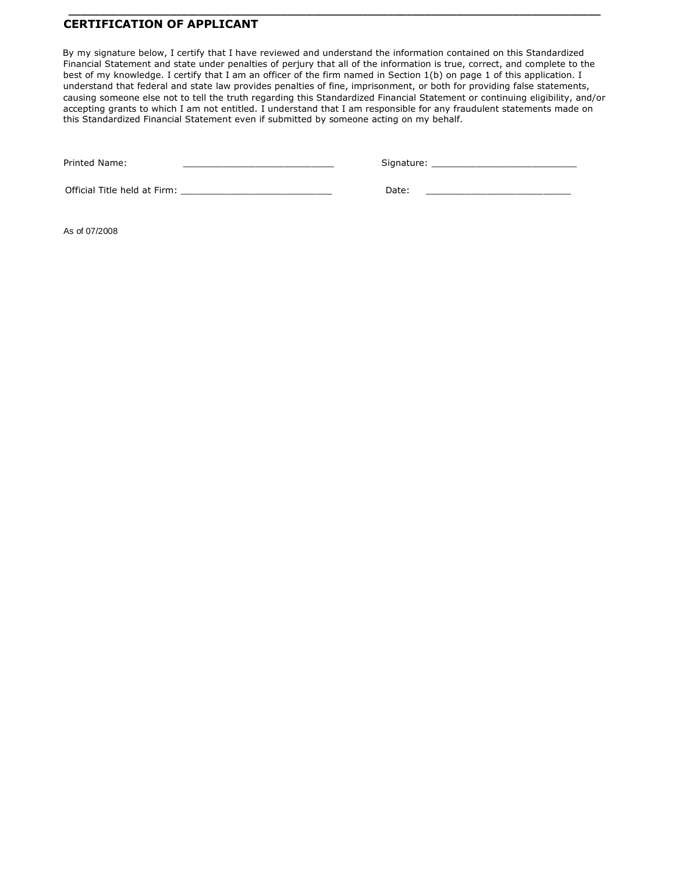### **CERTIFICATION OF APPLICANT**

By my signature below, I certify that I have reviewed and understand the information contained on this Standardized Financial Statement and state under penalties of perjury that all of the information is true, correct, and complete to the best of my knowledge. I certify that I am an officer of the firm named in Section 1(b) on page 1 of this application. I understand that federal and state law provides penalties of fine, imprisonment, or both for providing false statements, causing someone else not to tell the truth regarding this Standardized Financial Statement or continuing eligibility, and/or accepting grants to which I am not entitled. I understand that I am responsible for any fraudulent statements made on this Standardized Financial Statement even if submitted by someone acting on my behalf.

 **\_\_\_\_\_\_\_\_\_\_\_\_\_\_\_\_\_\_\_\_\_\_\_\_\_\_\_\_\_\_\_\_\_\_\_\_\_\_\_\_\_\_\_\_\_\_\_\_\_\_\_\_\_\_\_\_\_\_\_\_\_\_\_\_\_\_\_\_\_\_\_\_\_\_\_\_\_\_\_\_\_\_\_\_\_**

Printed Name: \_\_\_\_\_\_\_\_\_\_\_\_\_\_\_\_\_\_\_\_\_\_\_\_\_\_\_ Signature: \_\_\_\_\_\_\_\_\_\_\_\_\_\_\_\_\_\_\_\_\_\_\_\_\_\_

Official Title held at Firm: \_\_\_\_\_\_\_\_\_\_\_\_\_\_\_\_\_\_\_\_\_\_\_\_\_\_\_ Date: \_\_\_\_\_\_\_\_\_\_\_\_\_\_\_\_\_\_\_\_\_\_\_\_\_\_

As of 07/2008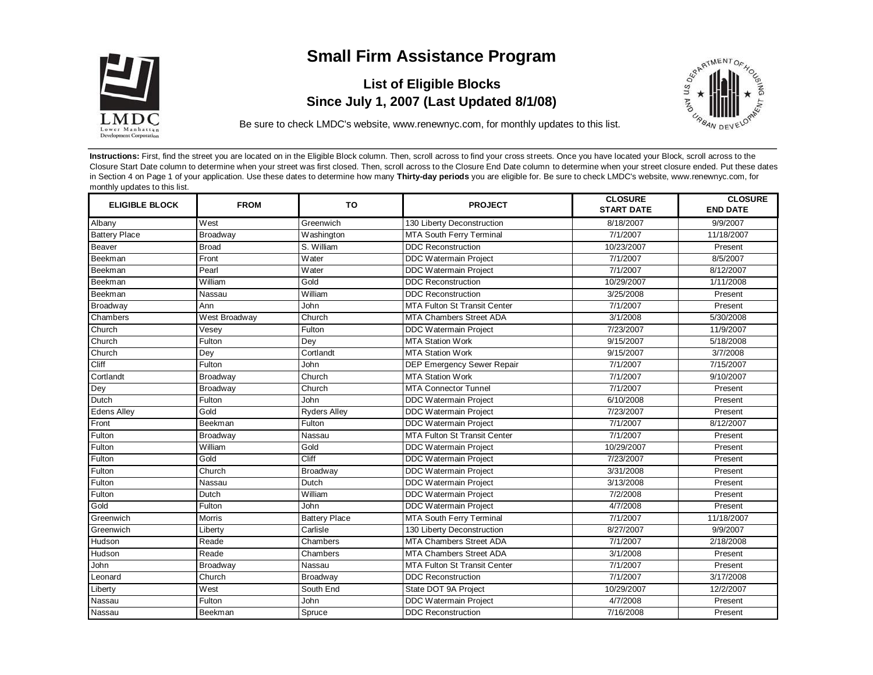

# **Small Firm Assistance Program**

# **List of Eligible Blocks Since July 1, 2007 (Last Updated 8/1/08)**



Be sure to check LMDC's website, www.renewnyc.com, for monthly updates to this list.

**Instructions:** First, find the street you are located on in the Eligible Block column. Then, scroll across to find your cross streets. Once you have located your Block, scroll across to the Closure Start Date column to determine when your street was first closed. Then, scroll across to the Closure End Date column to determine when your street closure ended. Put these dates in Section 4 on Page 1 of your application. Use these dates to determine how many **Thirty-day periods** you are eligible for. Be sure to check LMDC's website, www.renewnyc.com, for monthly updates to this list.

| <b>ELIGIBLE BLOCK</b> | <b>FROM</b>   | <b>TO</b>            | <b>PROJECT</b>                      | <b>CLOSURE</b><br><b>START DATE</b> | <b>CLOSURE</b><br><b>END DATE</b> |
|-----------------------|---------------|----------------------|-------------------------------------|-------------------------------------|-----------------------------------|
| Albany                | West          | Greenwich            | 130 Liberty Deconstruction          | 8/18/2007                           | 9/9/2007                          |
| <b>Battery Place</b>  | Broadway      | Washington           | MTA South Ferry Terminal            | 7/1/2007                            | 11/18/2007                        |
| Beaver                | Broad         | S. William           | <b>DDC Reconstruction</b>           | 10/23/2007                          | Present                           |
| Beekman               | Front         | Water                | DDC Watermain Project               | 7/1/2007                            | 8/5/2007                          |
| Beekman               | Pearl         | Water                | <b>DDC Watermain Project</b>        | 7/1/2007                            | 8/12/2007                         |
| Beekman               | William       | Gold                 | <b>DDC Reconstruction</b>           | 10/29/2007                          | 1/11/2008                         |
| Beekman               | Nassau        | William              | <b>DDC Reconstruction</b>           | 3/25/2008                           | Present                           |
| Broadway              | Ann           | John                 | <b>MTA Fulton St Transit Center</b> | 7/1/2007                            | Present                           |
| Chambers              | West Broadway | Church               | <b>MTA Chambers Street ADA</b>      | 3/1/2008                            | 5/30/2008                         |
| Church                | Vesey         | $F$ ulton            | DDC Watermain Project               | 7/23/2007                           | 11/9/2007                         |
| Church                | Fulton        | Dey                  | <b>MTA Station Work</b>             | 9/15/2007                           | 5/18/2008                         |
| Church                | Dey           | Cortlandt            | <b>MTA Station Work</b>             | 9/15/2007                           | 3/7/2008                          |
| Cliff                 | Fulton        | John                 | DEP Emergency Sewer Repair          | 7/1/2007                            | 7/15/2007                         |
| Cortlandt             | Broadway      | Church               | <b>MTA Station Work</b>             | 7/1/2007                            | 9/10/2007                         |
| Dey                   | Broadway      | Church               | <b>MTA Connector Tunnel</b>         | 7/1/2007                            | Present                           |
| Dutch                 | Fulton        | John                 | <b>DDC Watermain Project</b>        | 6/10/2008                           | Present                           |
| <b>Edens Alley</b>    | Gold          | <b>Ryders Alley</b>  | <b>DDC Watermain Project</b>        | 7/23/2007                           | Present                           |
| Front                 | Beekman       | Fulton               | <b>DDC Watermain Project</b>        | 7/1/2007                            | 8/12/2007                         |
| Fulton                | Broadway      | Nassau               | <b>MTA Fulton St Transit Center</b> | 7/1/2007                            | Present                           |
| Fulton                | William       | Gold                 | <b>DDC Watermain Project</b>        | 10/29/2007                          | Present                           |
| Fulton                | Gold          | Cliff                | <b>DDC Watermain Project</b>        | 7/23/2007                           | Present                           |
| Fulton                | Church        | Broadway             | <b>DDC Watermain Project</b>        | 3/31/2008                           | Present                           |
| Fulton                | Nassau        | Dutch                | <b>DDC Watermain Project</b>        | 3/13/2008                           | Present                           |
| Fulton                | Dutch         | William              | <b>DDC Watermain Project</b>        | 7/2/2008                            | Present                           |
| Gold                  | Fulton        | John                 | <b>DDC Watermain Project</b>        | 4/7/2008                            | Present                           |
| Greenwich             | <b>Morris</b> | <b>Battery Place</b> | MTA South Ferry Terminal            | 7/1/2007                            | 11/18/2007                        |
| Greenwich             | Liberty       | Carlisle             | 130 Liberty Deconstruction          | 8/27/2007                           | 9/9/2007                          |
| Hudson                | Reade         | Chambers             | MTA Chambers Street ADA             | 7/1/2007                            | 2/18/2008                         |
| Hudson                | Reade         | Chambers             | MTA Chambers Street ADA             | 3/1/2008                            | Present                           |
| John                  | Broadway      | Nassau               | <b>MTA Fulton St Transit Center</b> | 7/1/2007                            | Present                           |
| Leonard               | Church        | Broadway             | <b>DDC Reconstruction</b>           | 7/1/2007                            | 3/17/2008                         |
| Liberty               | West          | South End            | State DOT 9A Project                | 10/29/2007                          | 12/2/2007                         |
| Nassau                | Fulton        | John                 | DDC Watermain Project               | 4/7/2008                            | Present                           |
| Nassau                | Beekman       | Spruce               | <b>DDC Reconstruction</b>           | 7/16/2008                           | Present                           |